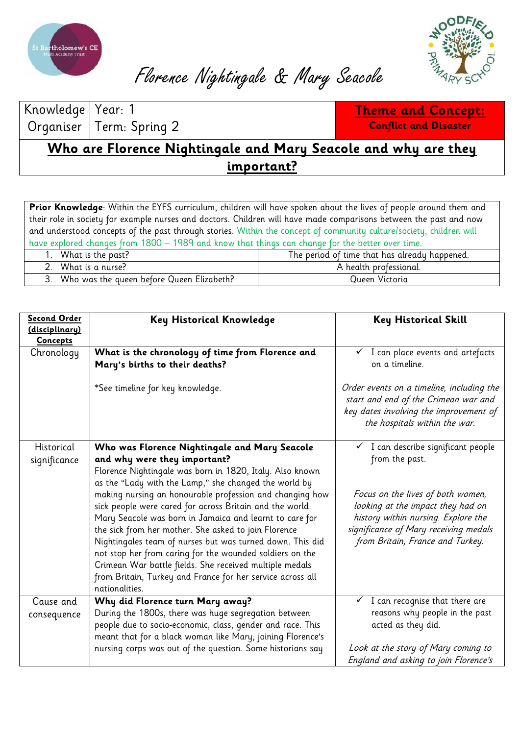



Florence Nightingale & Mary Seacole

Knowledge Organiser

Year: 1 Term: Spring 2

**Theme and Concept: Conflict and Disaster**

**Who are Florence Nightingale and Mary Seacole and why are they important?**

**Prior Knowledge**: Within the EYFS curriculum, children will have spoken about the lives of people around them and their role in society for example nurses and doctors. Children will have made comparisons between the past and now and understood concepts of the past through stories. Within the concept of community culture/society, children will have explored changes from 1800 – 1989 and know that things can change for the better over time.

| What is the past?                         | The period of time that has already happened. |
|-------------------------------------------|-----------------------------------------------|
| What is a nurse?                          | A health professional.                        |
| Who was the queen before Queen Elizabeth? | Queen Victoria                                |

| Second Order<br>(disciplinary)<br><b>Concepts</b> | Key Historical Knowledge                                                                                                                                                                                                                                                                                                                                                                                                                                                                                                                                             | <b>Key Historical Skill</b>                                                                                                                                                                |
|---------------------------------------------------|----------------------------------------------------------------------------------------------------------------------------------------------------------------------------------------------------------------------------------------------------------------------------------------------------------------------------------------------------------------------------------------------------------------------------------------------------------------------------------------------------------------------------------------------------------------------|--------------------------------------------------------------------------------------------------------------------------------------------------------------------------------------------|
| Chronology                                        | What is the chronology of time from Florence and<br>Mary's births to their deaths?                                                                                                                                                                                                                                                                                                                                                                                                                                                                                   | I can place events and artefacts<br>on a timeline.                                                                                                                                         |
|                                                   | *See timeline for key knowledge.                                                                                                                                                                                                                                                                                                                                                                                                                                                                                                                                     | Order events on a timeline, including the<br>start and end of the Crimean war and<br>key dates involving the improvement of<br>the hospitals within the war.                               |
| Historical                                        | Who was Florence Nightingale and Mary Seacole                                                                                                                                                                                                                                                                                                                                                                                                                                                                                                                        | I can describe significant people                                                                                                                                                          |
| significance                                      | and why were they important?                                                                                                                                                                                                                                                                                                                                                                                                                                                                                                                                         | from the past.                                                                                                                                                                             |
|                                                   | Florence Nightingale was born in 1820, Italy. Also known                                                                                                                                                                                                                                                                                                                                                                                                                                                                                                             |                                                                                                                                                                                            |
|                                                   | as the "Lady with the Lamp," she changed the world by<br>making nursing an honourable profession and changing how<br>sick people were cared for across Britain and the world.<br>Mary Seacole was born in Jamaica and learnt to care for<br>the sick from her mother. She asked to join Florence<br>Nightingales team of nurses but was turned down. This did<br>not stop her from caring for the wounded soldiers on the<br>Crimean War battle fields. She received multiple medals<br>from Britain, Turkey and France for her service across all<br>nationalities. | Focus on the lives of both women,<br>looking at the impact they had on<br>history within nursing. Explore the<br>significance of Mary receiving medals<br>from Britain, France and Turkey. |
| Cause and                                         | Why did Florence turn Mary away?                                                                                                                                                                                                                                                                                                                                                                                                                                                                                                                                     | I can recognise that there are<br>✓                                                                                                                                                        |
| consequence                                       | During the 1800s, there was huge segregation between                                                                                                                                                                                                                                                                                                                                                                                                                                                                                                                 | reasons why people in the past                                                                                                                                                             |
|                                                   | people due to socio-economic, class, gender and race. This                                                                                                                                                                                                                                                                                                                                                                                                                                                                                                           | acted as they did.                                                                                                                                                                         |
|                                                   | meant that for a black woman like Mary, joining Florence's                                                                                                                                                                                                                                                                                                                                                                                                                                                                                                           |                                                                                                                                                                                            |
|                                                   | nursing corps was out of the question. Some historians say                                                                                                                                                                                                                                                                                                                                                                                                                                                                                                           | Look at the story of Mary coming to                                                                                                                                                        |
|                                                   |                                                                                                                                                                                                                                                                                                                                                                                                                                                                                                                                                                      | England and asking to join Florence's                                                                                                                                                      |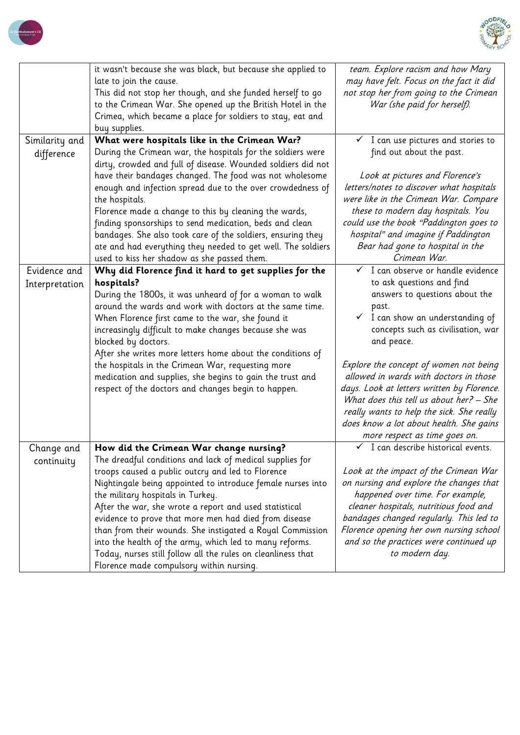



|                          | it wasn't because she was black, but because she applied to<br>late to join the cause.<br>This did not stop her though, and she funded herself to go<br>to the Crimean War. She opened up the British Hotel in the<br>Crimea, which became a place for soldiers to stay, eat and<br>buy supplies.                                                                                                                                                                                                                                                                                                                   | team. Explore racism and how Mary<br>may have felt. Focus on the fact it did<br>not stop her from going to the Crimean<br>War (she paid for herself).                                                                                                                                                                                                                                                                                                                         |
|--------------------------|---------------------------------------------------------------------------------------------------------------------------------------------------------------------------------------------------------------------------------------------------------------------------------------------------------------------------------------------------------------------------------------------------------------------------------------------------------------------------------------------------------------------------------------------------------------------------------------------------------------------|-------------------------------------------------------------------------------------------------------------------------------------------------------------------------------------------------------------------------------------------------------------------------------------------------------------------------------------------------------------------------------------------------------------------------------------------------------------------------------|
| Similarity and           | What were hospitals like in the Crimean War?                                                                                                                                                                                                                                                                                                                                                                                                                                                                                                                                                                        | $\checkmark$ I can use pictures and stories to                                                                                                                                                                                                                                                                                                                                                                                                                                |
| difference               | During the Crimean war, the hospitals for the soldiers were<br>dirty, crowded and full of disease. Wounded soldiers did not<br>have their bandages changed. The food was not wholesome<br>enough and infection spread due to the over crowdedness of<br>the hospitals.<br>Florence made a change to this by cleaning the wards,                                                                                                                                                                                                                                                                                     | find out about the past.<br>Look at pictures and Florence's<br>letters/notes to discover what hospitals<br>were like in the Crimean War. Compare<br>these to modern day hospitals. You                                                                                                                                                                                                                                                                                        |
|                          | finding sponsorships to send medication, beds and clean<br>bandages. She also took care of the soldiers, ensuring they<br>ate and had everything they needed to get well. The soldiers<br>used to kiss her shadow as she passed them.                                                                                                                                                                                                                                                                                                                                                                               | could use the book "Paddington goes to<br>hospital" and imagine if Paddington<br>Bear had gone to hospital in the<br>Crimean War.                                                                                                                                                                                                                                                                                                                                             |
| Evidence and             | Why did Florence find it hard to get supplies for the                                                                                                                                                                                                                                                                                                                                                                                                                                                                                                                                                               | I can observe or handle evidence<br>$\checkmark$                                                                                                                                                                                                                                                                                                                                                                                                                              |
| Interpretation           | hospitals?<br>During the 1800s, it was unheard of for a woman to walk<br>around the wards and work with doctors at the same time.<br>When Florence first came to the war, she found it<br>increasingly difficult to make changes because she was<br>blocked by doctors.<br>After she writes more letters home about the conditions of<br>the hospitals in the Crimean War, requesting more<br>medication and supplies, she begins to gain the trust and<br>respect of the doctors and changes begin to happen.                                                                                                      | to ask questions and find<br>answers to questions about the<br>past.<br>$\checkmark$ I can show an understanding of<br>concepts such as civilisation, war<br>and peace.<br>Explore the concept of women not being<br>allowed in wards with doctors in those<br>days. Look at letters written by Florence.<br>What does this tell us about her? - She<br>really wants to help the sick. She really<br>does know a lot about health. She gains<br>more respect as time goes on. |
| Change and<br>continuity | How did the Crimean War change nursing?<br>The dreadful conditions and lack of medical supplies for<br>troops caused a public outcry and led to Florence<br>Nightingale being appointed to introduce female nurses into<br>the military hospitals in Turkey.<br>After the war, she wrote a report and used statistical<br>evidence to prove that more men had died from disease<br>than from their wounds. She instigated a Royal Commission<br>into the health of the army, which led to many reforms.<br>Today, nurses still follow all the rules on cleanliness that<br>Florence made compulsory within nursing. | $\checkmark$ I can describe historical events.<br>Look at the impact of the Crimean War<br>on nursing and explore the changes that<br>happened over time. For example,<br>cleaner hospitals, nutritious food and<br>bandages changed regularly. This led to<br>Florence opening her own nursing school<br>and so the practices were continued up<br>to modern day.                                                                                                            |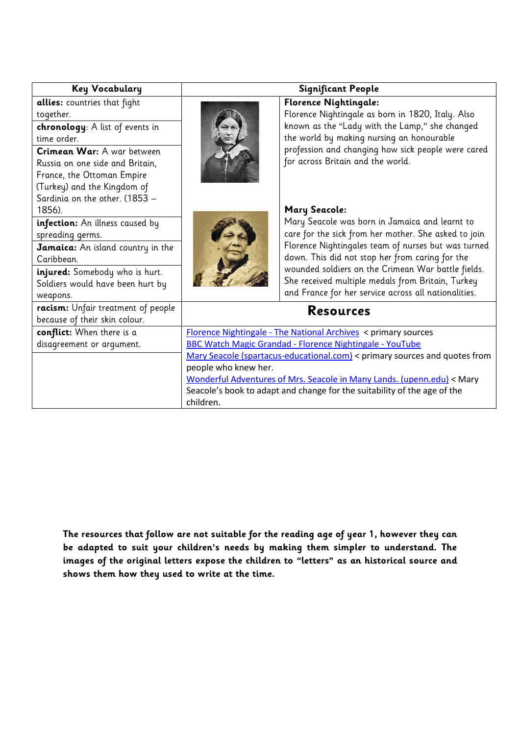| <b>Key Vocabulary</b>                                                                                                                                                        | <b>Significant People</b>                                                                                                                                                               |                                                                                                                                                                                                                                                                                                                             |  |
|------------------------------------------------------------------------------------------------------------------------------------------------------------------------------|-----------------------------------------------------------------------------------------------------------------------------------------------------------------------------------------|-----------------------------------------------------------------------------------------------------------------------------------------------------------------------------------------------------------------------------------------------------------------------------------------------------------------------------|--|
| allies: countries that fight<br>together.<br>chronology: A list of events in                                                                                                 |                                                                                                                                                                                         | <b>Florence Nightingale:</b><br>Florence Nightingale as born in 1820, Italy. Also<br>known as the "Lady with the Lamp," she changed                                                                                                                                                                                         |  |
| time order.                                                                                                                                                                  |                                                                                                                                                                                         | the world by making nursing an honourable                                                                                                                                                                                                                                                                                   |  |
| Crimean War: A war between<br>Russia on one side and Britain,<br>France, the Ottoman Empire<br>(Turkey) and the Kingdom of                                                   |                                                                                                                                                                                         | profession and changing how sick people were cared<br>for across Britain and the world.                                                                                                                                                                                                                                     |  |
| Sardinia on the other. (1853 -<br>1856).                                                                                                                                     |                                                                                                                                                                                         | <b>Mary Seacole:</b>                                                                                                                                                                                                                                                                                                        |  |
| infection: An illness caused by<br>spreading germs.<br>Jamaica: An island country in the<br>Caribbean.<br>injured: Somebody who is hurt.<br>Soldiers would have been hurt by |                                                                                                                                                                                         | Mary Seacole was born in Jamaica and learnt to<br>care for the sick from her mother. She asked to join<br>Florence Nightingales team of nurses but was turned<br>down. This did not stop her from caring for the<br>wounded soldiers on the Crimean War battle fields.<br>She received multiple medals from Britain, Turkey |  |
| weapons.                                                                                                                                                                     |                                                                                                                                                                                         | and France for her service across all nationalities.                                                                                                                                                                                                                                                                        |  |
| racism: Unfair treatment of people<br>because of their skin colour.                                                                                                          | <b>Resources</b>                                                                                                                                                                        |                                                                                                                                                                                                                                                                                                                             |  |
| conflict: When there is a                                                                                                                                                    | <b>Florence Nightingale - The National Archives &lt; primary sources</b>                                                                                                                |                                                                                                                                                                                                                                                                                                                             |  |
| disagreement or argument.                                                                                                                                                    | BBC Watch Magic Grandad - Florence Nightingale - YouTube                                                                                                                                |                                                                                                                                                                                                                                                                                                                             |  |
|                                                                                                                                                                              | Mary Seacole (spartacus-educational.com) < primary sources and quotes from                                                                                                              |                                                                                                                                                                                                                                                                                                                             |  |
|                                                                                                                                                                              | people who knew her.<br>Wonderful Adventures of Mrs. Seacole in Many Lands. (upenn.edu) < Mary<br>Seacole's book to adapt and change for the suitability of the age of the<br>children. |                                                                                                                                                                                                                                                                                                                             |  |
|                                                                                                                                                                              |                                                                                                                                                                                         |                                                                                                                                                                                                                                                                                                                             |  |

**The resources that follow are not suitable for the reading age of year 1, however they can be adapted to suit your children's needs by making them simpler to understand. The images of the original letters expose the children to "letters" as an historical source and shows them how they used to write at the time.**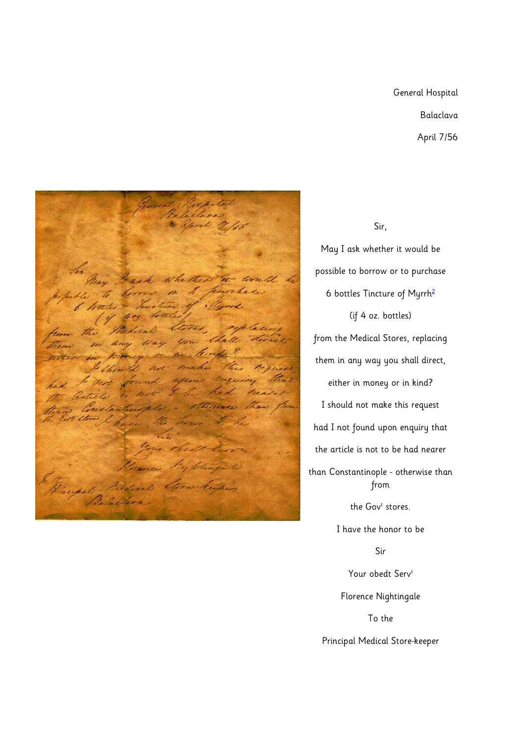## General Hospital Balaclava April 7/56



## Sir,

May I ask whether it would be possible to borrow or to purchase 6 bottles Tincture of Myrr[h](http://clendening.kumc.edu/dc/fn/balaclav.html#ftnote2#ftnote2)<sup>2</sup> (if 4 oz. bottles) from the Medical Stores, replacing them in any way you shall direct, either in money or in kind? I should not make this request had I not found upon enquiry that the article is not to be had nearer than Constantinople - otherwise than from the Gov<sup>t</sup> stores. I have the honor to be Sir Your obedt Serv<sup>t</sup> Florence Nightingale To the

Principal Medical Store-keeper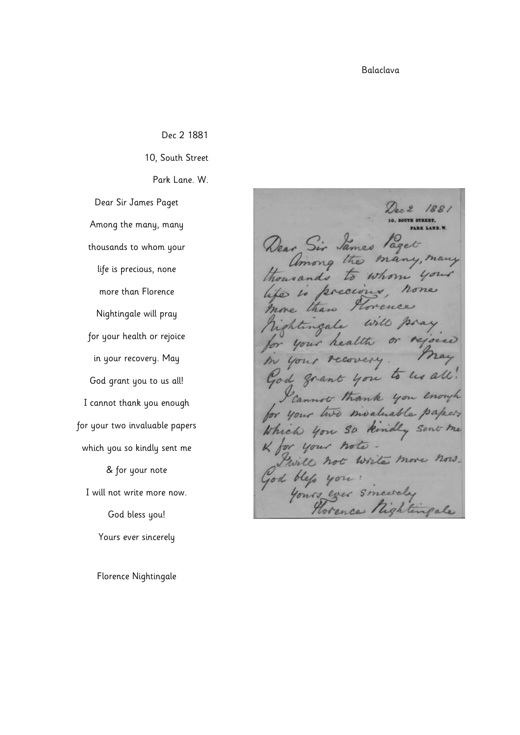Balaclava

Dec 2 1881 10, South Street Park Lane. W. Dear Sir James Paget Among the many, many thousands to whom your life is precious, none more than Florence Nightingale will pray for your health or rejoice in your recovery. May God grant you to us all! I cannot thank you enough for your two invaluable papers which you so kindly sent me & for your note I will not write more now. God bless you! Yours ever sincerely

Florence Nightingale

188. Dear Sir James Paget among the many, many thousands  $\varpi$ whom you life is precious hone Grence more than will pray rightingale your health or recovery m your God grant you to us all! Cannot thank you enough for your two moduable papers Which you so kindly sent me & for your note. Will not write more now. God blep you :<br>Yours ever sincerely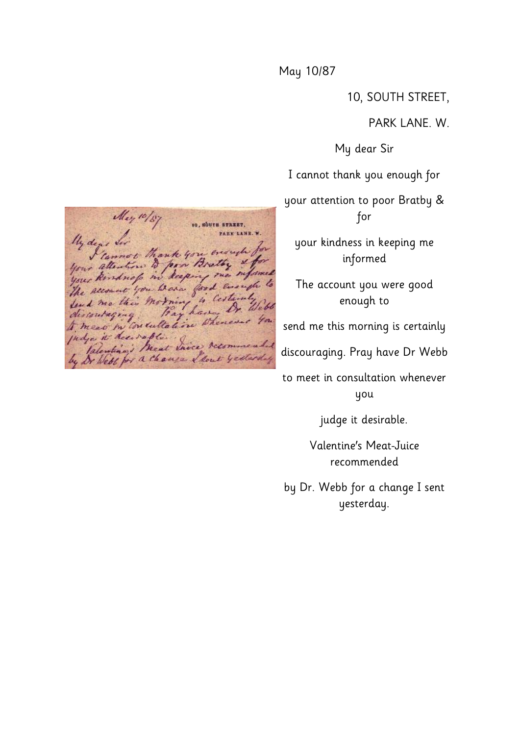## May 10/87

10, SOUTH STREET,

PARK LANE. W.

My dear Sir

I cannot thank you enough for

your attention to poor Bratby & for

your kindness in keeping me informed

The account you were good enough to

send me this morning is certainly

discouraging. Pray have Dr Webb

to meet in consultation whenever you

judge it desirable.

Valentine's Meat-Juice recommended

by Dr. Webb for a change I sent yesterday.

May 10/87 10, SOUTH STREET. PARK LANE. W. My dear for The dear for thank you ensuite for indye it des safe.<br>Indye it des safe.<br>by De Webb for a change I don't yesterday